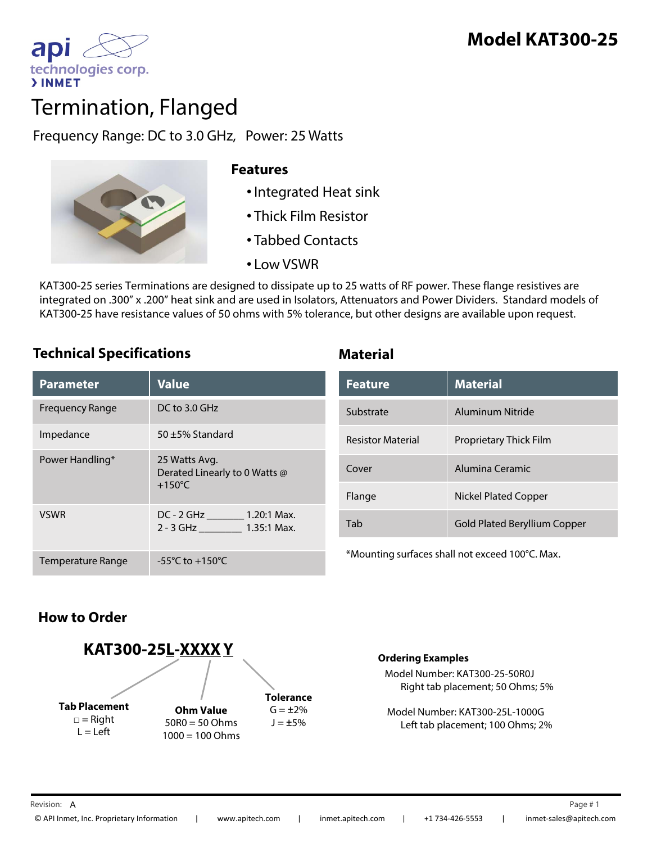

# Termination, Flanged

Frequency Range: DC to 3.0 GHz, Power: 25 Watts



### **Features**

- •Integrated Heat sink
- Thick Film Resistor
- Tabbed Contacts
- Low VSWR

KAT300-25 series Terminations are designed to dissipate up to 25 watts of RF power. These flange resistives are integrated on .300" x .200" heat sink and are used in Isolators, Attenuators and Power Dividers. Standard models of KAT300-25 have resistance values of 50 ohms with 5% tolerance, but other designs are available upon request.

### **Technical Specifications Material**

| <b>Parameter</b>       | <b>Value</b>                                                       |
|------------------------|--------------------------------------------------------------------|
| <b>Frequency Range</b> | DC to 3.0 GHz                                                      |
| Impedance              | 50 $\pm$ 5% Standard                                               |
| Power Handling*        | 25 Watts Avg.<br>Derated Linearly to 0 Watts @<br>$+150^{\circ}$ C |
| <b>VSWR</b>            | $1.20:1$ Max.<br>$DC - 2 GHz$<br>2 - 3 GHz 1.35:1 Max.             |
| Temperature Range      | $-55^{\circ}$ C to $+150^{\circ}$ C                                |

| <b>Value</b>                                                       | <b>Feature</b>           | <b>Material</b>                     |
|--------------------------------------------------------------------|--------------------------|-------------------------------------|
| DC to 3.0 GHz                                                      | Substrate                | Aluminum Nitride                    |
| 50 ±5% Standard                                                    | <b>Resistor Material</b> | <b>Proprietary Thick Film</b>       |
| 25 Watts Avg.<br>Derated Linearly to 0 Watts @<br>$+150^{\circ}$ C | Cover                    | Alumina Ceramic                     |
|                                                                    | Flange                   | <b>Nickel Plated Copper</b>         |
| DC - 2 GHz _________ 1.20:1 Max.                                   | Tab                      | <b>Gold Plated Beryllium Copper</b> |

\*Mounting surfaces shall not exceed 100°C. Max.

## **How to Order**



### **Ordering Examples**

Model Number: KAT300-25-50R0J Right tab placement; 50 Ohms; 5%

Model Number: KAT300-25L-1000G Left tab placement; 100 Ohms; 2%